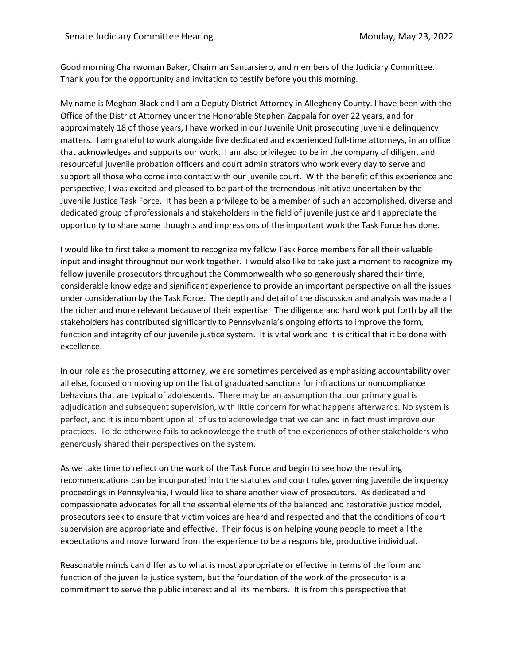Good morning Chairwoman Baker, Chairman Santarsiero, and members of the Judiciary Committee. Thank you for the opportunity and invitation to testify before you this morning.

My name is Meghan Black and I am a Deputy District Attorney in Allegheny County. I have been with the Office of the District Attorney under the Honorable Stephen Zappala for over 22 years, and for approximately 18 of those years, I have worked in our Juvenile Unit prosecuting juvenile delinquency matters. I am grateful to work alongside five dedicated and experienced full-time attorneys, in an office that acknowledges and supports our work. I am also privileged to be in the company of diligent and resourceful juvenile probation officers and court administrators who work every day to serve and support all those who come into contact with our juvenile court. With the benefit of this experience and perspective, I was excited and pleased to be part of the tremendous initiative undertaken by the Juvenile Justice Task Force. It has been a privilege to be a member of such an accomplished, diverse and dedicated group of professionals and stakeholders in the field of juvenile justice and I appreciate the opportunity to share some thoughts and impressions of the important work the Task Force has done.

I would like to first take a moment to recognize my fellow Task Force members for all their valuable input and insight throughout our work together. I would also like to take just a moment to recognize my fellow juvenile prosecutors throughout the Commonwealth who so generously shared their time, considerable knowledge and significant experience to provide an important perspective on all the issues under consideration by the Task Force. The depth and detail of the discussion and analysis was made all the richer and more relevant because of their expertise. The diligence and hard work put forth by all the stakeholders has contributed significantly to Pennsylvania's ongoing efforts to improve the form, function and integrity of our juvenile justice system. It is vital work and it is critical that it be done with excellence.

In our role as the prosecuting attorney, we are sometimes perceived as emphasizing accountability over all else, focused on moving up on the list of graduated sanctions for infractions or noncompliance behaviors that are typical of adolescents. There may be an assumption that our primary goal is adjudication and subsequent supervision, with little concern for what happens afterwards. No system is perfect, and it is incumbent upon all of us to acknowledge that we can and in fact must improve our practices. To do otherwise fails to acknowledge the truth of the experiences of other stakeholders who generously shared their perspectives on the system.

As we take time to reflect on the work of the Task Force and begin to see how the resulting recommendations can be incorporated into the statutes and court rules governing juvenile delinquency proceedings in Pennsylvania, I would like to share another view of prosecutors. As dedicated and compassionate advocates for all the essential elements of the balanced and restorative justice model, prosecutors seek to ensure that victim voices are heard and respected and that the conditions of court supervision are appropriate and effective. Their focus is on helping young people to meet all the expectations and move forward from the experience to be a responsible, productive individual.

Reasonable minds can differ as to what is most appropriate or effective in terms of the form and function of the juvenile justice system, but the foundation of the work of the prosecutor is a commitment to serve the public interest and all its members. It is from this perspective that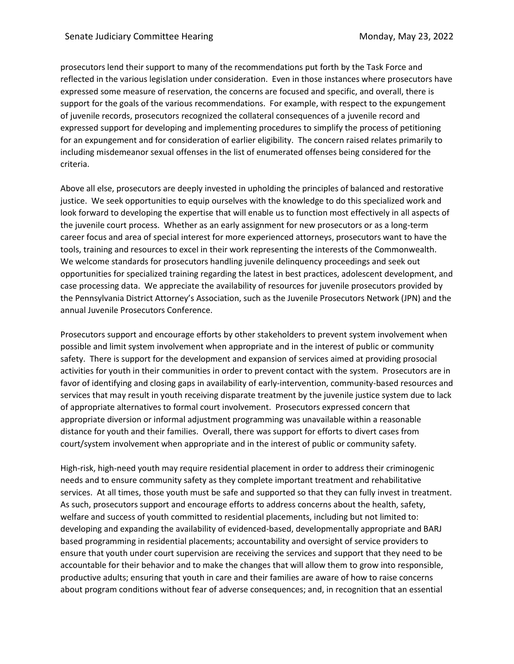prosecutors lend their support to many of the recommendations put forth by the Task Force and reflected in the various legislation under consideration. Even in those instances where prosecutors have expressed some measure of reservation, the concerns are focused and specific, and overall, there is support for the goals of the various recommendations. For example, with respect to the expungement of juvenile records, prosecutors recognized the collateral consequences of a juvenile record and expressed support for developing and implementing procedures to simplify the process of petitioning for an expungement and for consideration of earlier eligibility. The concern raised relates primarily to including misdemeanor sexual offenses in the list of enumerated offenses being considered for the criteria.

Above all else, prosecutors are deeply invested in upholding the principles of balanced and restorative justice. We seek opportunities to equip ourselves with the knowledge to do this specialized work and look forward to developing the expertise that will enable us to function most effectively in all aspects of the juvenile court process. Whether as an early assignment for new prosecutors or as a long-term career focus and area of special interest for more experienced attorneys, prosecutors want to have the tools, training and resources to excel in their work representing the interests of the Commonwealth. We welcome standards for prosecutors handling juvenile delinquency proceedings and seek out opportunities for specialized training regarding the latest in best practices, adolescent development, and case processing data. We appreciate the availability of resources for juvenile prosecutors provided by the Pennsylvania District Attorney's Association, such as the Juvenile Prosecutors Network (JPN) and the annual Juvenile Prosecutors Conference.

Prosecutors support and encourage efforts by other stakeholders to prevent system involvement when possible and limit system involvement when appropriate and in the interest of public or community safety. There is support for the development and expansion of services aimed at providing prosocial activities for youth in their communities in order to prevent contact with the system. Prosecutors are in favor of identifying and closing gaps in availability of early-intervention, community-based resources and services that may result in youth receiving disparate treatment by the juvenile justice system due to lack of appropriate alternatives to formal court involvement. Prosecutors expressed concern that appropriate diversion or informal adjustment programming was unavailable within a reasonable distance for youth and their families. Overall, there was support for efforts to divert cases from court/system involvement when appropriate and in the interest of public or community safety.

High-risk, high-need youth may require residential placement in order to address their criminogenic needs and to ensure community safety as they complete important treatment and rehabilitative services. At all times, those youth must be safe and supported so that they can fully invest in treatment. As such, prosecutors support and encourage efforts to address concerns about the health, safety, welfare and success of youth committed to residential placements, including but not limited to: developing and expanding the availability of evidenced-based, developmentally appropriate and BARJ based programming in residential placements; accountability and oversight of service providers to ensure that youth under court supervision are receiving the services and support that they need to be accountable for their behavior and to make the changes that will allow them to grow into responsible, productive adults; ensuring that youth in care and their families are aware of how to raise concerns about program conditions without fear of adverse consequences; and, in recognition that an essential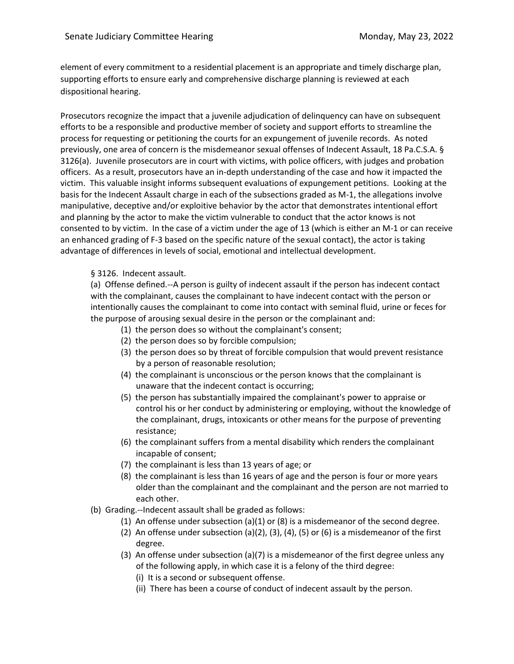element of every commitment to a residential placement is an appropriate and timely discharge plan, supporting efforts to ensure early and comprehensive discharge planning is reviewed at each dispositional hearing.

Prosecutors recognize the impact that a juvenile adjudication of delinquency can have on subsequent efforts to be a responsible and productive member of society and support efforts to streamline the process for requesting or petitioning the courts for an expungement of juvenile records. As noted previously, one area of concern is the misdemeanor sexual offenses of Indecent Assault, 18 Pa.C.S.A. § 3126(a). Juvenile prosecutors are in court with victims, with police officers, with judges and probation officers. As a result, prosecutors have an in-depth understanding of the case and how it impacted the victim. This valuable insight informs subsequent evaluations of expungement petitions. Looking at the basis for the Indecent Assault charge in each of the subsections graded as M-1, the allegations involve manipulative, deceptive and/or exploitive behavior by the actor that demonstrates intentional effort and planning by the actor to make the victim vulnerable to conduct that the actor knows is not consented to by victim. In the case of a victim under the age of 13 (which is either an M-1 or can receive an enhanced grading of F-3 based on the specific nature of the sexual contact), the actor is taking advantage of differences in levels of social, emotional and intellectual development.

## § 3126. Indecent assault.

(a) Offense defined.--A person is guilty of indecent assault if the person has indecent contact with the complainant, causes the complainant to have indecent contact with the person or intentionally causes the complainant to come into contact with seminal fluid, urine or feces for the purpose of arousing sexual desire in the person or the complainant and:

- (1) the person does so without the complainant's consent;
- (2) the person does so by forcible compulsion;
- (3) the person does so by threat of forcible compulsion that would prevent resistance by a person of reasonable resolution;
- (4) the complainant is unconscious or the person knows that the complainant is unaware that the indecent contact is occurring;
- (5) the person has substantially impaired the complainant's power to appraise or control his or her conduct by administering or employing, without the knowledge of the complainant, drugs, intoxicants or other means for the purpose of preventing resistance;
- (6) the complainant suffers from a mental disability which renders the complainant incapable of consent;
- (7) the complainant is less than 13 years of age; or
- (8) the complainant is less than 16 years of age and the person is four or more years older than the complainant and the complainant and the person are not married to each other.
- (b) Grading.--Indecent assault shall be graded as follows:
	- (1) An offense under subsection (a)(1) or (8) is a misdemeanor of the second degree.
	- (2) An offense under subsection (a)(2), (3), (4), (5) or (6) is a misdemeanor of the first degree.
	- (3) An offense under subsection (a)(7) is a misdemeanor of the first degree unless any of the following apply, in which case it is a felony of the third degree:
		- (i) It is a second or subsequent offense.
		- (ii) There has been a course of conduct of indecent assault by the person.